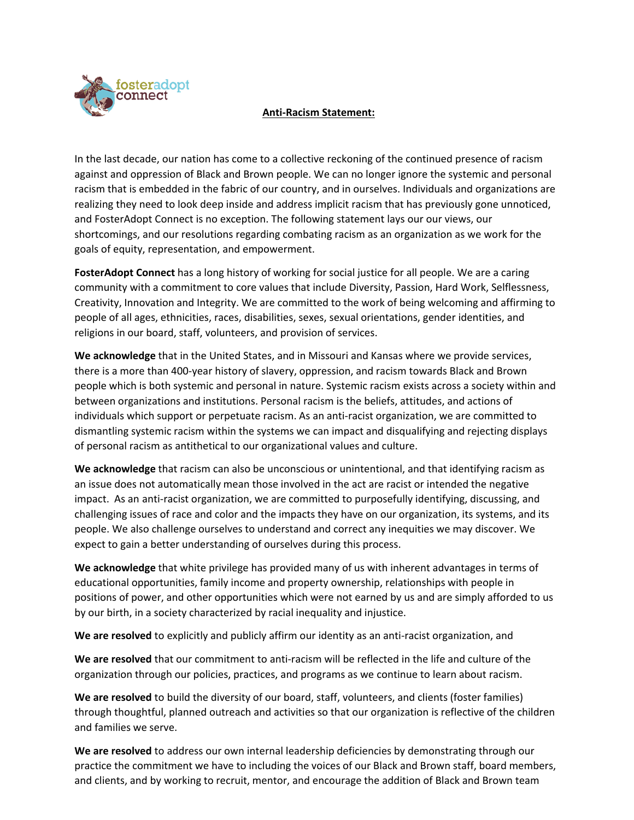

## **Anti-Racism Statement:**

In the last decade, our nation has come to a collective reckoning of the continued presence of racism against and oppression of Black and Brown people. We can no longer ignore the systemic and personal racism that is embedded in the fabric of our country, and in ourselves. Individuals and organizations are realizing they need to look deep inside and address implicit racism that has previously gone unnoticed, and FosterAdopt Connect is no exception. The following statement lays our our views, our shortcomings, and our resolutions regarding combating racism as an organization as we work for the goals of equity, representation, and empowerment.

**FosterAdopt Connect** has a long history of working for social justice for all people. We are a caring community with a commitment to core values that include Diversity, Passion, Hard Work, Selflessness, Creativity, Innovation and Integrity. We are committed to the work of being welcoming and affirming to people of all ages, ethnicities, races, disabilities, sexes, sexual orientations, gender identities, and religions in our board, staff, volunteers, and provision of services.

**We acknowledge** that in the United States, and in Missouri and Kansas where we provide services, there is a more than 400-year history of slavery, oppression, and racism towards Black and Brown people which is both systemic and personal in nature. Systemic racism exists across a society within and between organizations and institutions. Personal racism is the beliefs, attitudes, and actions of individuals which support or perpetuate racism. As an anti-racist organization, we are committed to dismantling systemic racism within the systems we can impact and disqualifying and rejecting displays of personal racism as antithetical to our organizational values and culture.

**We acknowledge** that racism can also be unconscious or unintentional, and that identifying racism as an issue does not automatically mean those involved in the act are racist or intended the negative impact. As an anti-racist organization, we are committed to purposefully identifying, discussing, and challenging issues of race and color and the impacts they have on our organization, its systems, and its people. We also challenge ourselves to understand and correct any inequities we may discover. We expect to gain a better understanding of ourselves during this process.

**We acknowledge** that white privilege has provided many of us with inherent advantages in terms of educational opportunities, family income and property ownership, relationships with people in positions of power, and other opportunities which were not earned by us and are simply afforded to us by our birth, in a society characterized by racial inequality and injustice.

**We are resolved** to explicitly and publicly affirm our identity as an anti-racist organization, and

**We are resolved** that our commitment to anti-racism will be reflected in the life and culture of the organization through our policies, practices, and programs as we continue to learn about racism.

**We are resolved** to build the diversity of our board, staff, volunteers, and clients (foster families) through thoughtful, planned outreach and activities so that our organization is reflective of the children and families we serve.

**We are resolved** to address our own internal leadership deficiencies by demonstrating through our practice the commitment we have to including the voices of our Black and Brown staff, board members, and clients, and by working to recruit, mentor, and encourage the addition of Black and Brown team